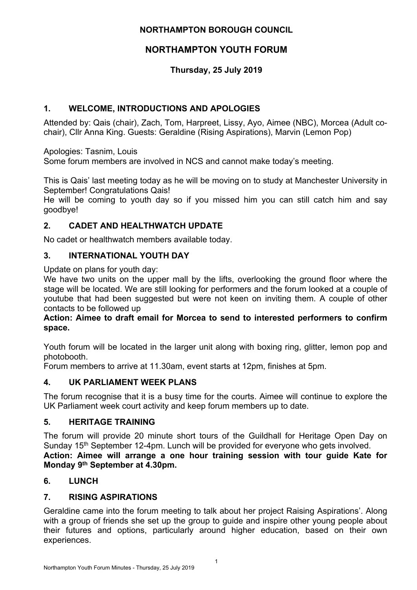# **NORTHAMPTON BOROUGH COUNCIL**

# **NORTHAMPTON YOUTH FORUM**

# **Thursday, 25 July 2019**

# **1. WELCOME, INTRODUCTIONS AND APOLOGIES**

Attended by: Qais (chair), Zach, Tom, Harpreet, Lissy, Ayo, Aimee (NBC), Morcea (Adult cochair), Cllr Anna King. Guests: Geraldine (Rising Aspirations), Marvin (Lemon Pop)

Apologies: Tasnim, Louis

Some forum members are involved in NCS and cannot make today's meeting.

This is Qais' last meeting today as he will be moving on to study at Manchester University in September! Congratulations Qais!

He will be coming to youth day so if you missed him you can still catch him and say goodbye!

# **2. CADET AND HEALTHWATCH UPDATE**

No cadet or healthwatch members available today.

### **3. INTERNATIONAL YOUTH DAY**

Update on plans for youth day:

We have two units on the upper mall by the lifts, overlooking the ground floor where the stage will be located. We are still looking for performers and the forum looked at a couple of youtube that had been suggested but were not keen on inviting them. A couple of other contacts to be followed up

#### **Action: Aimee to draft email for Morcea to send to interested performers to confirm space.**

Youth forum will be located in the larger unit along with boxing ring, glitter, lemon pop and photobooth.

Forum members to arrive at 11.30am, event starts at 12pm, finishes at 5pm.

# **4. UK PARLIAMENT WEEK PLANS**

The forum recognise that it is a busy time for the courts. Aimee will continue to explore the UK Parliament week court activity and keep forum members up to date.

# **5. HERITAGE TRAINING**

The forum will provide 20 minute short tours of the Guildhall for Heritage Open Day on Sunday 15<sup>th</sup> September 12-4pm. Lunch will be provided for everyone who gets involved. **Action: Aimee will arrange a one hour training session with tour guide Kate for Monday 9 th September at 4.30pm.**

# **6. LUNCH**

# **7. RISING ASPIRATIONS**

Geraldine came into the forum meeting to talk about her project Raising Aspirations'. Along with a group of friends she set up the group to guide and inspire other young people about their futures and options, particularly around higher education, based on their own experiences.